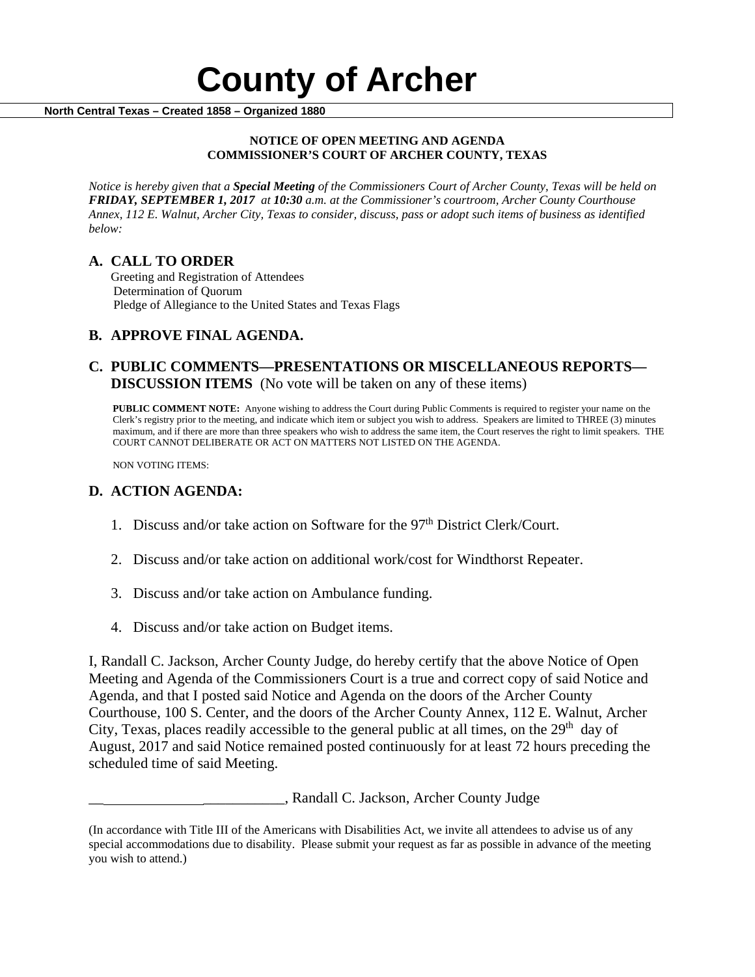

### **NOTICE OF OPEN MEETING AND AGENDA COMMISSIONER'S COURT OF ARCHER COUNTY, TEXAS**

*Notice is hereby given that a Special Meeting of the Commissioners Court of Archer County, Texas will be held on FRIDAY, SEPTEMBER 1, 2017 at 10:30 a.m. at the Commissioner's courtroom, Archer County Courthouse Annex, 112 E. Walnut, Archer City, Texas to consider, discuss, pass or adopt such items of business as identified below:*

**A. CALL TO ORDER** Greeting and Registration of Attendees Determination of Quorum Pledge of Allegiance to the United States and Texas Flags

# **B. APPROVE FINAL AGENDA.**

# **C. PUBLIC COMMENTS—PRESENTATIONS OR MISCELLANEOUS REPORTS— DISCUSSION ITEMS** (No vote will be taken on any of these items)

**PUBLIC COMMENT NOTE:** Anyone wishing to address the Court during Public Comments is required to register your name on the Clerk's registry prior to the meeting, and indicate which item or subject you wish to address. Speakers are limited to THREE (3) minutes maximum, and if there are more than three speakers who wish to address the same item, the Court reserves the right to limit speakers. THE COURT CANNOT DELIBERATE OR ACT ON MATTERS NOT LISTED ON THE AGENDA.

NON VOTING ITEMS:

## **D. ACTION AGENDA:**

- 1. Discuss and/or take action on Software for the 97<sup>th</sup> District Clerk/Court.
- 2. Discuss and/or take action on additional work/cost for Windthorst Repeater.
- 3. Discuss and/or take action on Ambulance funding.
- 4. Discuss and/or take action on Budget items.

I, Randall C. Jackson, Archer County Judge, do hereby certify that the above Notice of Open Meeting and Agenda of the Commissioners Court is a true and correct copy of said Notice and Agenda, and that I posted said Notice and Agenda on the doors of the Archer County Courthouse, 100 S. Center, and the doors of the Archer County Annex, 112 E. Walnut, Archer City, Texas, places readily accessible to the general public at all times, on the  $29<sup>th</sup>$  day of August, 2017 and said Notice remained posted continuously for at least 72 hours preceding the scheduled time of said Meeting.

\_, Randall C. Jackson, Archer County Judge

<sup>(</sup>In accordance with Title III of the Americans with Disabilities Act, we invite all attendees to advise us of any special accommodations due to disability. Please submit your request as far as possible in advance of the meeting you wish to attend.)